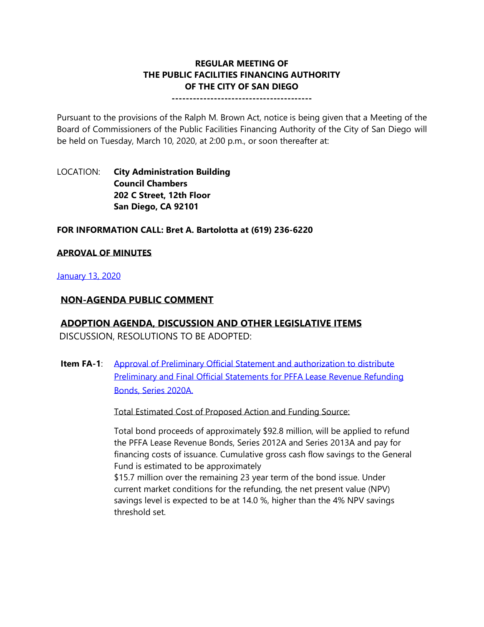# **REGULAR MEETING OF THE PUBLIC FACILITIES FINANCING AUTHORITY OF THE CITY OF SAN DIEGO**

**----------------------------------------**

Pursuant to the provisions of the Ralph M. Brown Act, notice is being given that a Meeting of the Board of Commissioners of the Public Facilities Financing Authority of the City of San Diego will be held on Tuesday, March 10, 2020, at 2:00 p.m., or soon thereafter at:

LOCATION: **City Administration Building Council Chambers 202 C Street, 12th Floor San Diego, CA 92101** 

#### **FOR INFORMATION CALL: Bret A. Bartolotta at (619) 236-6220**

### **APROVAL OF MINUTES**

#### [January 13, 2020](http://www.sandiego.gov/sites/default/files/pffa_minutes_0.pdf)

### **NON-AGENDA PUBLIC COMMENT**

# **ADOPTION AGENDA, DISCUSSION AND OTHER LEGISLATIVE ITEMS**

DISCUSSION, RESOLUTIONS TO BE ADOPTED:

**Item FA-1:** Approval of Preliminary Official Statement and authorization to distribute [Preliminary and Final Official Statements for PFFA Lease Revenue Refunding](http://www.sandiego.gov/sites/default/files/pffa_combined_files_0.pdf)  [Bonds, Series 2020A.](http://www.sandiego.gov/sites/default/files/pffa_combined_files_0.pdf)

Total Estimated Cost of Proposed Action and Funding Source:

Total bond proceeds of approximately \$92.8 million, will be applied to refund the PFFA Lease Revenue Bonds, Series 2012A and Series 2013A and pay for financing costs of issuance. Cumulative gross cash flow savings to the General Fund is estimated to be approximately

\$15.7 million over the remaining 23 year term of the bond issue. Under current market conditions for the refunding, the net present value (NPV) savings level is expected to be at 14.0 %, higher than the 4% NPV savings threshold set.